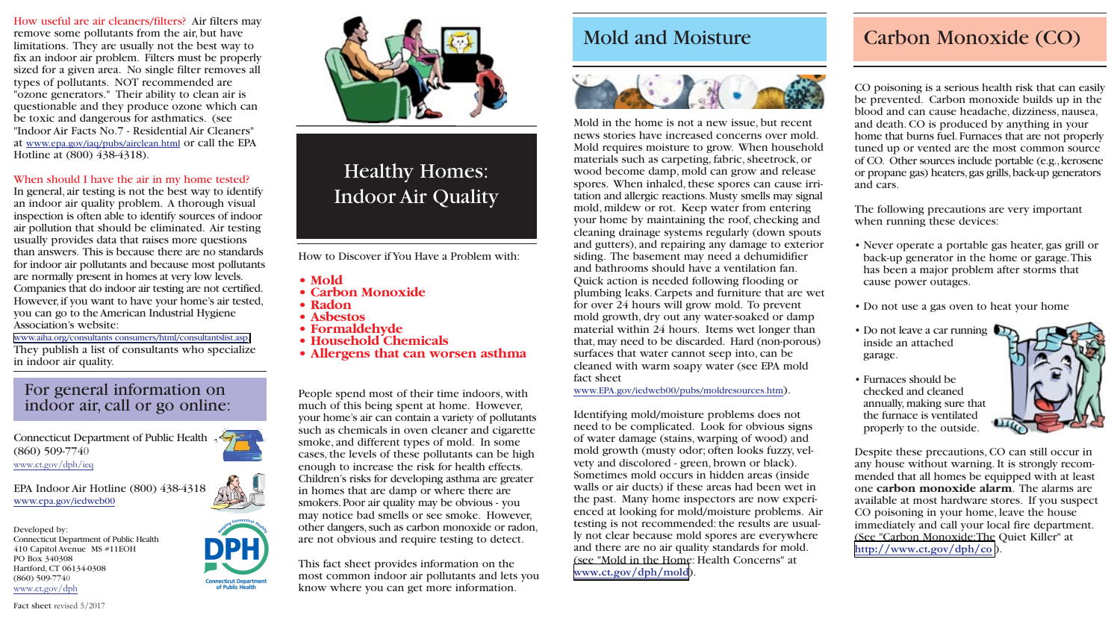CO poisoning is a serious health risk that can easily be prevented. Carbon monoxide builds up in the blood and can cause headache, dizziness, nausea, and death. CO is produced by anything in your home that burns fuel. Furnaces that are not properly tuned up or vented are the most common source of CO. Other sources include portable (e.g.,kerosene or propane gas) heaters,gas grills,back-up generators and cars.

The following precautions are very important when running these devices:

• Never operate a portable gas heater, gas grill or back-up generator in the home or garage.This has been a major problem after storms that cause power outages.

• Do not use a gas oven to heat your home

• Do not leave a car running inside an attached garage.

• Furnaces should be checked and cleaned annually, making sure that the furnace is ventilated properly to the outside.



Despite these precautions, CO can still occur in any house without warning. It is strongly recommended that all homes be equipped with at least one **carbon monoxide alarm**. The alarms are available at most hardware stores. If you suspect CO poisoning in your home, leave the house immediately and call your local fire department. (See "Carbon Monoxide:The Quiet Killer" at **<http://www.ct.gov/dph/co>**).

How useful are air cleaners/filters? Air filters may remove some pollutants from the air, but have limitations. They are usually not the best way to fix an indoor air problem. Filters must be properly sized for a given area. No single filter removes all types of pollutants. NOT recommended are "ozone generators." Their ability to clean air is questionable and they produce ozone which can be toxic and dangerous for asthmatics. (see "Indoor Air Facts No.7 - Residential Air Cleaners" at www.epa.gov/iaq/pubs/airclean.html or call the EPA Hotline at (800) 438-4318).

#### When should I have the air in my home tested?

In general, air testing is not the best way to identify an indoor air quality problem. A thorough visual inspection is often able to identify sources of indoor air pollution that should be eliminated. Air testing usually provides data that raises more questions than answers. This is because there are no standards for indoor air pollutants and because most pollutants are normally present in homes at very low levels. Companies that do indoor air testing are not certified. However, if you want to have your home's air tested, you can go to the American Industrial Hygiene Association's website:

[www.aiha.org/consultants consumers/html/consultantslist.asp.](https://www.aiha.org/about-ih/Pages/Find-an-Industrial-Hygienist.aspx) They publish a list of consultants who specialize in indoor air quality.

### For general information on indoor air, call or go online:

Mold in the home is not a new issue, but recent news stories have increased concerns over mold. Mold requires moisture to grow. When household materials such as carpeting, fabric, sheetrock, or wood become damp, mold can grow and release spores. When inhaled, these spores can cause irritation and allergic reactions.Musty smells may signal mold, mildew or rot. Keep water from entering your home by maintaining the roof, checking and cleaning drainage systems regularly (down spouts and gutters), and repairing any damage to exterior siding. The basement may need a dehumidifier and bathrooms should have a ventilation fan. Quick action is needed following flooding or plumbing leaks. Carpets and furniture that are wet for over 24 hours will grow mold. To prevent mold growth, dry out any water-soaked or damp material within 24 hours. Items wet longer than that, may need to be discarded. Hard (non-porous) surfaces that water cannot seep into, can be cleaned with warm soapy water (see EPA mold fact sheet

www.EPA.gov/iedweb00/pubs/moldresources.htm).

Identifying mold/moisture problems does not need to be complicated. Look for obvious signs of water damage (stains, warping of wood) and mold growth (musty odor; often looks fuzzy, velvety and discolored - green, brown or black). Sometimes mold occurs in hidden areas (inside walls or air ducts) if these areas had been wet in the past. Many home inspectors are now experienced at looking for mold/moisture problems. Air testing is not recommended: the results are usually not clear because mold spores are everywhere and there are no air quality standards for mold. (see "Mold in the Home: Health Concerns" at **<www.ct.gov/dph/mold>**).

# Healthy Homes: Indoor Air Quality

People spend most of their time indoors, with much of this being spent at home. However, your home's air can contain a variety of pollutants such as chemicals in oven cleaner and cigarette smoke, and different types of mold. In some cases, the levels of these pollutants can be high enough to increase the risk for health effects. Children's risks for developing asthma are greater in homes that are damp or where there are smokers.Poor air quality may be obvious - you may notice bad smells or see smoke. However, other dangers, such as carbon monoxide or radon, are not obvious and require testing to detect.

This fact sheet provides information on the most common indoor air pollutants and lets you know where you can get more information.



How to Discover if You Have a Problem with:

- **Mold**
- **Carbon Monoxide**
- **Radon**
- **Asbestos**
- **Formaldehyde**
- **Household Chemicals**
- **Allergens that can worsen asthma**

Connecticut Department of Public Health (860) 509-7740 www.ct.gov/dph/ieq

EPA Indoor Air Hotline (800) 438-4318 www.epa.gov/iedweb00

Developed by: Connecticut Department of Public Health 410 Capitol Avenue MS #11EOH PO Box 340308 Hartford, CT 06134-0308 (860) 509-7740 www.ct.gov/dph





## Mold and Moisture **Carbon Monoxide (CO)**